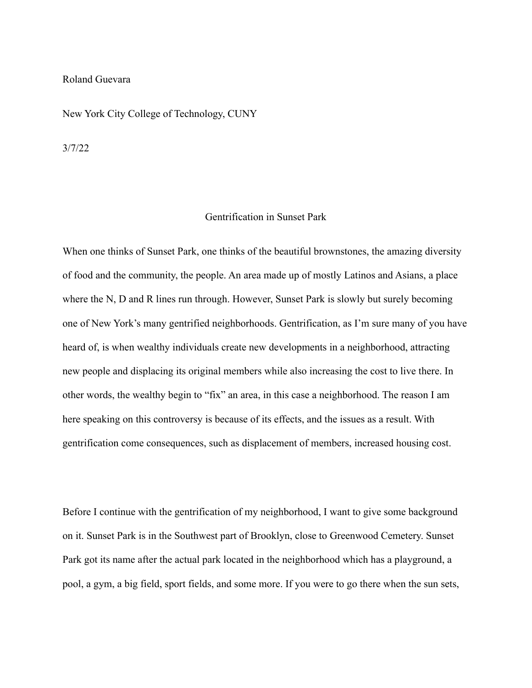## Roland Guevara

New York City College of Technology, CUNY

3/7/22

## Gentrification in Sunset Park

When one thinks of Sunset Park, one thinks of the beautiful brownstones, the amazing diversity of food and the community, the people. An area made up of mostly Latinos and Asians, a place where the N, D and R lines run through. However, Sunset Park is slowly but surely becoming one of New York's many gentrified neighborhoods. Gentrification, as I'm sure many of you have heard of, is when wealthy individuals create new developments in a neighborhood, attracting new people and displacing its original members while also increasing the cost to live there. In other words, the wealthy begin to "fix" an area, in this case a neighborhood. The reason I am here speaking on this controversy is because of its effects, and the issues as a result. With gentrification come consequences, such as displacement of members, increased housing cost.

Before I continue with the gentrification of my neighborhood, I want to give some background on it. Sunset Park is in the Southwest part of Brooklyn, close to Greenwood Cemetery. Sunset Park got its name after the actual park located in the neighborhood which has a playground, a pool, a gym, a big field, sport fields, and some more. If you were to go there when the sun sets,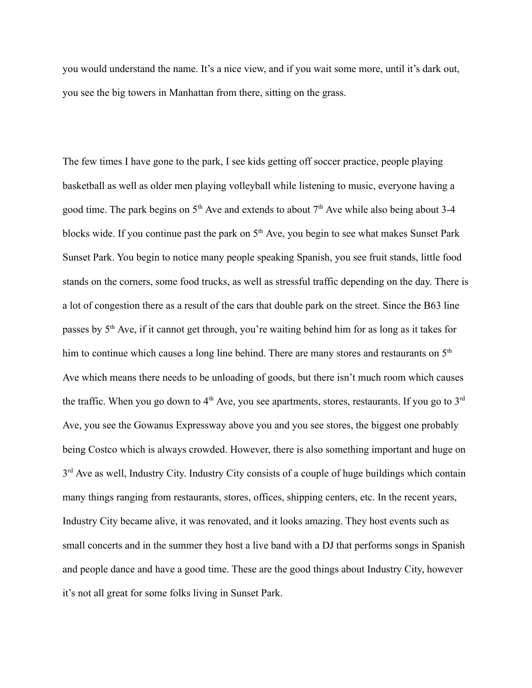you would understand the name. It's a nice view, and if you wait some more, until it's dark out, you see the big towers in Manhattan from there, sitting on the grass.

The few times I have gone to the park, I see kids getting off soccer practice, people playing basketball as well as older men playing volleyball while listening to music, everyone having a good time. The park begins on  $5<sup>th</sup>$  Ave and extends to about  $7<sup>th</sup>$  Ave while also being about 3-4 blocks wide. If you continue past the park on  $5<sup>th</sup>$  Ave, you begin to see what makes Sunset Park Sunset Park. You begin to notice many people speaking Spanish, you see fruit stands, little food stands on the corners, some food trucks, as well as stressful traffic depending on the day. There is a lot of congestion there as a result of the cars that double park on the street. Since the B63 line passes by 5<sup>th</sup> Ave, if it cannot get through, you're waiting behind him for as long as it takes for him to continue which causes a long line behind. There are many stores and restaurants on 5<sup>th</sup> Ave which means there needs to be unloading of goods, but there isn't much room which causes the traffic. When you go down to  $4<sup>th</sup>$  Ave, you see apartments, stores, restaurants. If you go to  $3<sup>rd</sup>$ Ave, you see the Gowanus Expressway above you and you see stores, the biggest one probably being Costco which is always crowded. However, there is also something important and huge on 3<sup>rd</sup> Ave as well, Industry City. Industry City consists of a couple of huge buildings which contain many things ranging from restaurants, stores, offices, shipping centers, etc. In the recent years, Industry City became alive, it was renovated, and it looks amazing. They host events such as small concerts and in the summer they host a live band with a DJ that performs songs in Spanish and people dance and have a good time. These are the good things about Industry City, however it's not all great for some folks living in Sunset Park.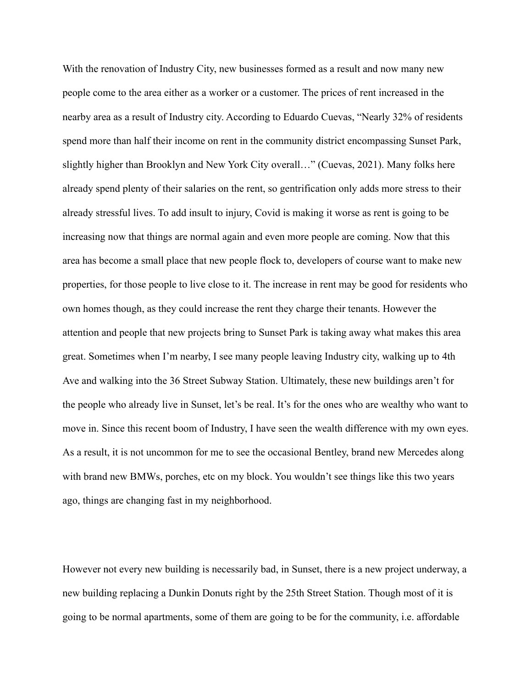With the renovation of Industry City, new businesses formed as a result and now many new people come to the area either as a worker or a customer. The prices of rent increased in the nearby area as a result of Industry city. According to Eduardo Cuevas, "Nearly 32% of residents spend more than half their income on rent in the community district encompassing Sunset Park, slightly higher than Brooklyn and New York City overall…" (Cuevas, 2021). Many folks here already spend plenty of their salaries on the rent, so gentrification only adds more stress to their already stressful lives. To add insult to injury, Covid is making it worse as rent is going to be increasing now that things are normal again and even more people are coming. Now that this area has become a small place that new people flock to, developers of course want to make new properties, for those people to live close to it. The increase in rent may be good for residents who own homes though, as they could increase the rent they charge their tenants. However the attention and people that new projects bring to Sunset Park is taking away what makes this area great. Sometimes when I'm nearby, I see many people leaving Industry city, walking up to 4th Ave and walking into the 36 Street Subway Station. Ultimately, these new buildings aren't for the people who already live in Sunset, let's be real. It's for the ones who are wealthy who want to move in. Since this recent boom of Industry, I have seen the wealth difference with my own eyes. As a result, it is not uncommon for me to see the occasional Bentley, brand new Mercedes along with brand new BMWs, porches, etc on my block. You wouldn't see things like this two years ago, things are changing fast in my neighborhood.

However not every new building is necessarily bad, in Sunset, there is a new project underway, a new building replacing a Dunkin Donuts right by the 25th Street Station. Though most of it is going to be normal apartments, some of them are going to be for the community, i.e. affordable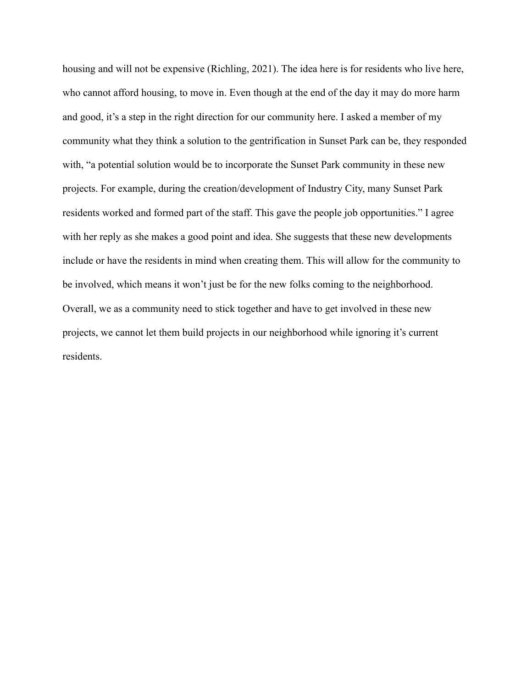housing and will not be expensive (Richling, 2021). The idea here is for residents who live here, who cannot afford housing, to move in. Even though at the end of the day it may do more harm and good, it's a step in the right direction for our community here. I asked a member of my community what they think a solution to the gentrification in Sunset Park can be, they responded with, "a potential solution would be to incorporate the Sunset Park community in these new projects. For example, during the creation/development of Industry City, many Sunset Park residents worked and formed part of the staff. This gave the people job opportunities." I agree with her reply as she makes a good point and idea. She suggests that these new developments include or have the residents in mind when creating them. This will allow for the community to be involved, which means it won't just be for the new folks coming to the neighborhood. Overall, we as a community need to stick together and have to get involved in these new projects, we cannot let them build projects in our neighborhood while ignoring it's current residents.